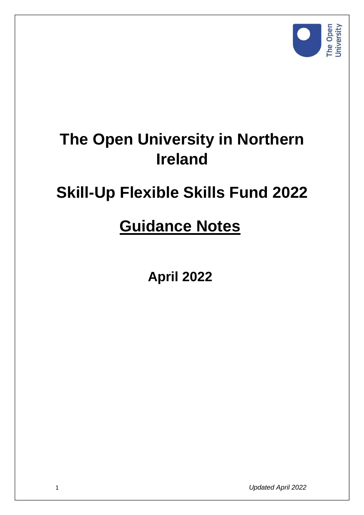

# **The Open University in Northern Ireland**

# **Skill-Up Flexible Skills Fund 2022**

# **Guidance Notes**

**April 2022** 

1 *Updated April 2022*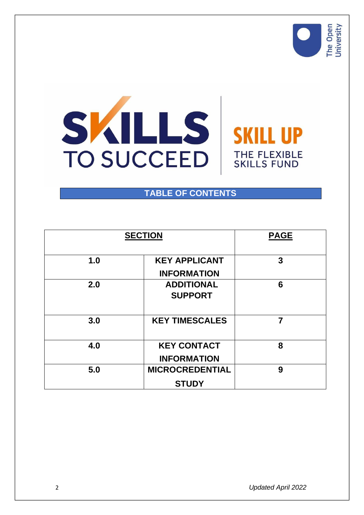



## **TABLE OF CONTENTS**

| <b>SECTION</b> |                                          | <b>PAGE</b> |
|----------------|------------------------------------------|-------------|
| 1.0            | <b>KEY APPLICANT</b>                     | 3           |
|                | <b>INFORMATION</b>                       |             |
| 2.0            | <b>ADDITIONAL</b><br><b>SUPPORT</b>      | 6           |
| 3.0            | <b>KEY TIMESCALES</b>                    | 7           |
| 4.0            | <b>KEY CONTACT</b><br><b>INFORMATION</b> | 8           |
| 5.0            | <b>MICROCREDENTIAL</b><br><b>STUDY</b>   | 9           |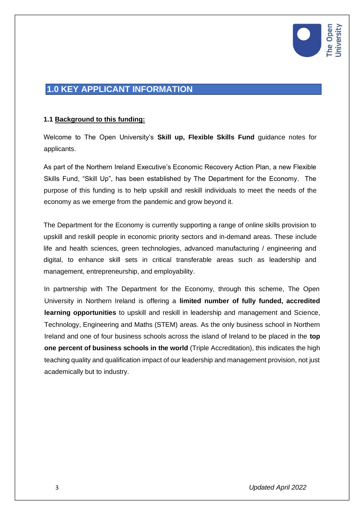

## **1.0 KEY APPLICANT INFORMATION**

#### **1.1 Background to this funding:**

Welcome to The Open University's **Skill up, Flexible Skills Fund** guidance notes for applicants.

As part of the Northern Ireland Executive's Economic Recovery Action Plan, a new Flexible Skills Fund, "Skill Up", has been established by The Department for the Economy. The purpose of this funding is to help upskill and reskill individuals to meet the needs of the economy as we emerge from the pandemic and grow beyond it.

The Department for the Economy is currently supporting a range of online skills provision to upskill and reskill people in economic priority sectors and in-demand areas. These include life and health sciences, green technologies, advanced manufacturing / engineering and digital, to enhance skill sets in critical transferable areas such as leadership and management, entrepreneurship, and employability.

In partnership with The Department for the Economy, through this scheme, The Open University in Northern Ireland is offering a **limited number of fully funded, accredited learning opportunities** to upskill and reskill in leadership and management and Science, Technology, Engineering and Maths (STEM) areas. As the only business school in Northern Ireland and one of four business schools across the island of Ireland to be placed in the **top one percent of business schools in the world** (Triple Accreditation), this indicates the high teaching quality and qualification impact of our leadership and management provision, not just academically but to industry.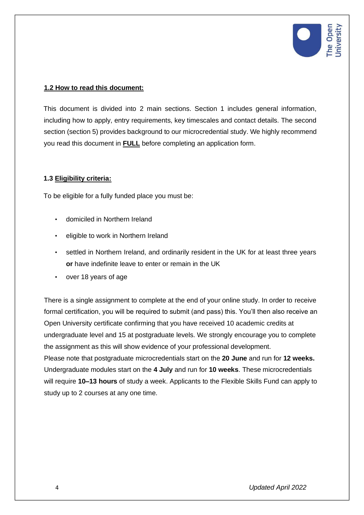

#### **1.2 How to read this document:**

This document is divided into 2 main sections. Section 1 includes general information, including how to apply, entry requirements, key timescales and contact details. The second section (section 5) provides background to our microcredential study. We highly recommend you read this document in **FULL** before completing an application form.

#### **1.3 Eligibility criteria:**

To be eligible for a fully funded place you must be:

- domiciled in Northern Ireland
- eligible to work in Northern Ireland
- settled in Northern Ireland, and ordinarily resident in the UK for at least three years **or** have indefinite leave to enter or remain in the UK
- over 18 years of age

There is a single assignment to complete at the end of your online study. In order to receive formal certification, you will be required to submit (and pass) this. You'll then also receive an Open University certificate confirming that you have received 10 academic credits at undergraduate level and 15 at postgraduate levels. We strongly encourage you to complete the assignment as this will show evidence of your professional development. Please note that postgraduate microcredentials start on the **20 June** and run for **12 weeks.** Undergraduate modules start on the **4 July** and run for **10 weeks**. These microcredentials will require **10–13 hours** of study a week. Applicants to the Flexible Skills Fund can apply to study up to 2 courses at any one time.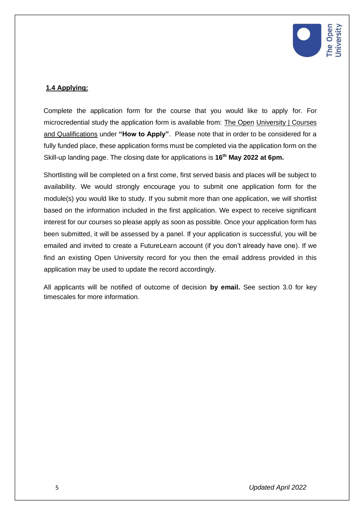

### **1.4 Applying:**

Complete the application form for the course that you would like to apply for. For microcredential study the application form is available from: The [Open](https://www.open.ac.uk/courses/courses/choose/att/ni-funded-skills#courses) [University | Courses](https://www.open.ac.uk/courses/courses/choose/att/ni-funded-skills#courses)  [and Qualifications](https://www.open.ac.uk/courses/courses/choose/att/ni-funded-skills#courses) under **"How to Apply"**. Please note that in order to be considered for a fully funded place, these application forms must be completed via the application form on the Skill-up landing page. The closing date for applications is **16th May 2022 at 6pm.** 

Shortlisting will be completed on a first come, first served basis and places will be subject to availability. We would strongly encourage you to submit one application form for the module(s) you would like to study. If you submit more than one application, we will shortlist based on the information included in the first application. We expect to receive significant interest for our courses so please apply as soon as possible. Once your application form has been submitted, it will be assessed by a panel. If your application is successful, you will be emailed and invited to create a FutureLearn account (if you don't already have one). If we find an existing Open University record for you then the email address provided in this application may be used to update the record accordingly.

All applicants will be notified of outcome of decision **by email.** See section 3.0 for key timescales for more information.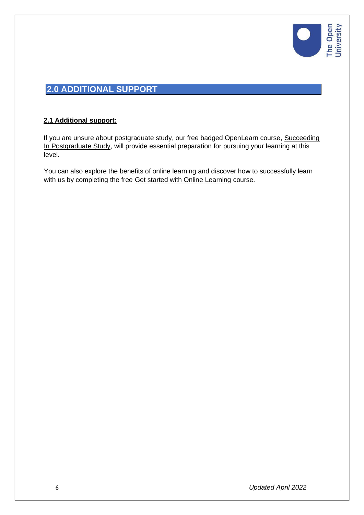

## **2.0 ADDITIONAL SUPPORT**

#### **2.1 Additional support:**

If you are unsure about postgraduate study, our free badged OpenLearn course, [Succeeding](https://www.open.edu/openlearn/education-development/succeeding-postgraduate-study/content-section-overview?active-tab=description-tab)  [In Postgraduate Study,](https://www.open.edu/openlearn/education-development/succeeding-postgraduate-study/content-section-overview?active-tab=description-tab) will provide essential preparation for pursuing your learning at this level.

You can also explore the benefits of online learning and discover how to successfully learn with us by completing the free [Get started with Online Learning](https://www.open.edu/openlearn/education-development/get-started-online-learning/content-section-overview?active-tab=description-tab) course.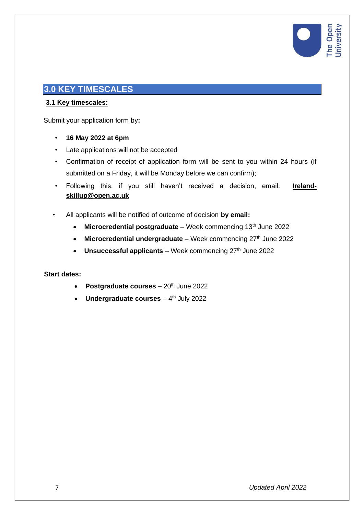

## **3.0 KEY TIMESCALES**

#### **3.1 Key timescales:**

Submit your application form by**:**

- **16 May 2022 at 6pm**
- Late applications will not be accepted
- Confirmation of receipt of application form will be sent to you within 24 hours (if submitted on a Friday, it will be Monday before we can confirm);
- Following this, if you still haven't received a decision, email: **Irelandskillup@open.ac.uk**
- All applicants will be notified of outcome of decision **by email:**
	- Microcredential postgraduate Week commencing 13<sup>th</sup> June 2022
	- Microcredential undergraduate Week commencing 27<sup>th</sup> June 2022
	- Unsuccessful applicants Week commencing 27<sup>th</sup> June 2022

#### **Start dates:**

- **Postgraduate courses** 20<sup>th</sup> June 2022
- **Undergraduate courses** 4<sup>th</sup> July 2022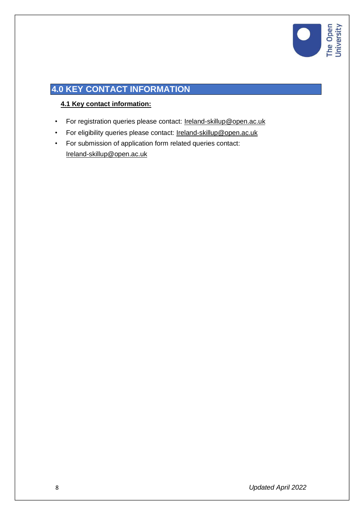

## **4.0 KEY CONTACT INFORMATION**

### **4.1 Key contact information:**

- For registration queries please contact: Ireland-skillup@open.ac.uk
- For eligibility queries please contact: Ireland-skillup@open.ac.uk
- For submission of application form related queries contact: Ireland-skillup@open.ac.uk

8 *Updated April 2022*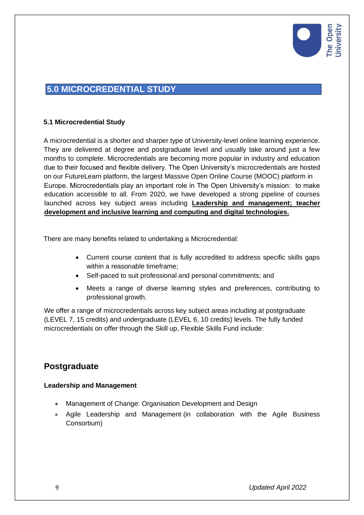

## **5.0 MICROCREDENTIAL STUDY**

#### **5.1 Microcredential Study**

A microcredential is a shorter and sharper type of University-level online learning experience. They are delivered at degree and postgraduate level and usually take around just a few months to complete. Microcredentials are becoming more popular in industry and education due to their focused and flexible delivery. The Open University's microcredentials are hosted on our FutureLearn platform, the largest Massive Open Online Course (MOOC) platform in Europe. Microcredentials play an important role in The Open University's mission: to make education accessible to all. From 2020, we have developed a strong pipeline of courses launched across key subject areas including **Leadership and management; teacher development and inclusive learning and computing and digital technologies.** 

There are many benefits related to undertaking a Microcredential:

- Current course content that is fully accredited to address specific skills gaps within a reasonable timeframe;
- Self-paced to suit professional and personal commitments; and
- Meets a range of diverse learning styles and preferences, contributing to professional growth.

We offer a range of microcredentials across key subject areas including at postgraduate (LEVEL 7, 15 credits) and undergraduate (LEVEL 6, 10 credits) levels. The fully funded microcredentials on offer through the Skill up, Flexible Skills Fund include:

## **Postgraduate**

#### **Leadership and Management**

- Management of Change: Organisation Development and Design
- Agile Leadership and Management (in collaboration with the Agile Business Consortium)